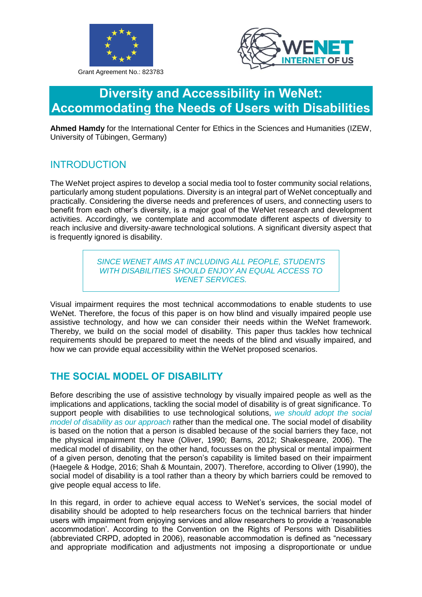

Grant Agreement No.: 823783



# **Diversity and Accessibility in WeNet: Accommodating the Needs of Users with Disabilities**

**Ahmed Hamdy** for the International Center for Ethics in the Sciences and Humanities (IZEW, University of Tübingen, Germany)

### **INTRODUCTION**

The WeNet project aspires to develop a social media tool to foster community social relations, particularly among student populations. Diversity is an integral part of WeNet conceptually and practically. Considering the diverse needs and preferences of users, and connecting users to benefit from each other's diversity, is a major goal of the WeNet research and development activities. Accordingly, we contemplate and accommodate different aspects of diversity to reach inclusive and diversity-aware technological solutions. A significant diversity aspect that is frequently ignored is disability.

> *SINCE WENET AIMS AT INCLUDING ALL PEOPLE, STUDENTS WITH DISABILITIES SHOULD ENJOY AN EQUAL ACCESS TO WENET SERVICES.*

Visual impairment requires the most technical accommodations to enable students to use WeNet. Therefore, the focus of this paper is on how blind and visually impaired people use assistive technology, and how we can consider their needs within the WeNet framework. Thereby, we build on the social model of disability. This paper thus tackles how technical requirements should be prepared to meet the needs of the blind and visually impaired, and how we can provide equal accessibility within the WeNet proposed scenarios.

# **THE SOCIAL MODEL OF DISABILITY**

Before describing the use of assistive technology by visually impaired people as well as the implications and applications, tackling the social model of disability is of great significance. To support people with disabilities to use technological solutions, *we should adopt the social model of disability as our approach* rather than the medical one. The social model of disability is based on the notion that a person is disabled because of the social barriers they face, not the physical impairment they have (Oliver, 1990; Barns, 2012; Shakespeare, 2006). The medical model of disability, on the other hand, focusses on the physical or mental impairment of a given person, denoting that the person's capability is limited based on their impairment (Haegele & Hodge, 2016; Shah & Mountain, 2007). Therefore, according to Oliver (1990), the social model of disability is a tool rather than a theory by which barriers could be removed to give people equal access to life.

In this regard, in order to achieve equal access to WeNet's services, the social model of disability should be adopted to help researchers focus on the technical barriers that hinder users with impairment from enjoying services and allow researchers to provide a 'reasonable accommodation'. According to the Convention on the Rights of Persons with Disabilities (abbreviated CRPD, adopted in 2006), reasonable accommodation is defined as "necessary and appropriate modification and adjustments not imposing a disproportionate or undue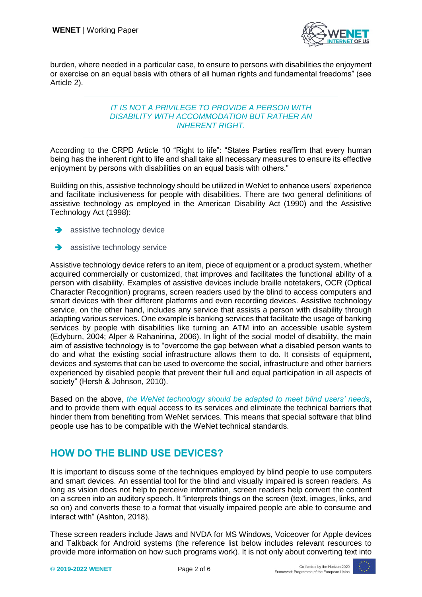

burden, where needed in a particular case, to ensure to persons with disabilities the enjoyment or exercise on an equal basis with others of all human rights and fundamental freedoms" (see Article 2).

#### *IT IS NOT A PRIVILEGE TO PROVIDE A PERSON WITH DISABILITY WITH ACCOMMODATION BUT RATHER AN INHERENT RIGHT.*

According to the CRPD Article 10 "Right to life": "States Parties reaffirm that every human being has the inherent right to life and shall take all necessary measures to ensure its effective enjoyment by persons with disabilities on an equal basis with others."

Building on this, assistive technology should be utilized in WeNet to enhance users' experience and facilitate inclusiveness for people with disabilities. There are two general definitions of assistive technology as employed in the American Disability Act (1990) and the Assistive Technology Act (1998):

- $\rightarrow$  assistive technology device
- $\rightarrow$  assistive technology service

Assistive technology device refers to an item, piece of equipment or a product system, whether acquired commercially or customized, that improves and facilitates the functional ability of a person with disability. Examples of assistive devices include braille notetakers, OCR (Optical Character Recognition) programs, screen readers used by the blind to access computers and smart devices with their different platforms and even recording devices. Assistive technology service, on the other hand, includes any service that assists a person with disability through adapting various services. One example is banking services that facilitate the usage of banking services by people with disabilities like turning an ATM into an accessible usable system (Edyburn, 2004; Alper & Rahanirina, 2006). In light of the social model of disability, the main aim of assistive technology is to "overcome the gap between what a disabled person wants to do and what the existing social infrastructure allows them to do. It consists of equipment, devices and systems that can be used to overcome the social, infrastructure and other barriers experienced by disabled people that prevent their full and equal participation in all aspects of society" (Hersh & Johnson, 2010).

Based on the above, *the WeNet technology should be adapted to meet blind users' needs*, and to provide them with equal access to its services and eliminate the technical barriers that hinder them from benefiting from WeNet services. This means that special software that blind people use has to be compatible with the WeNet technical standards.

# **HOW DO THE BLIND USE DEVICES?**

It is important to discuss some of the techniques employed by blind people to use computers and smart devices. An essential tool for the blind and visually impaired is screen readers. As long as vision does not help to perceive information, screen readers help convert the content on a screen into an auditory speech. It "interprets things on the screen (text, images, links, and so on) and converts these to a format that visually impaired people are able to consume and interact with" (Ashton, 2018).

These screen readers include Jaws and NVDA for MS Windows, Voiceover for Apple devices and Talkback for Android systems (the reference list below includes relevant resources to provide more information on how such programs work). It is not only about converting text into

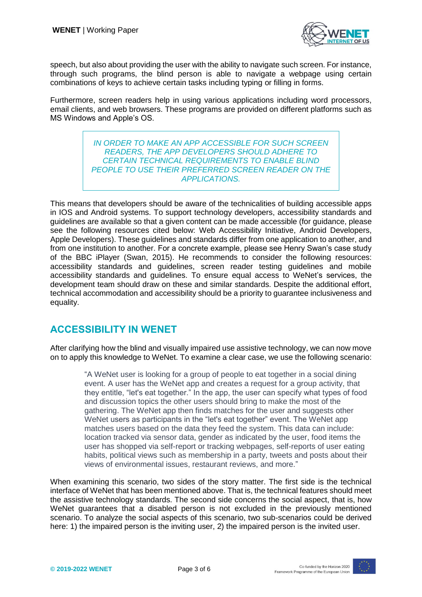

speech, but also about providing the user with the ability to navigate such screen. For instance, through such programs, the blind person is able to navigate a webpage using certain combinations of keys to achieve certain tasks including typing or filling in forms.

Furthermore, screen readers help in using various applications including word processors, email clients, and web browsers. These programs are provided on different platforms such as MS Windows and Apple's OS.

> *IN ORDER TO MAKE AN APP ACCESSIBLE FOR SUCH SCREEN READERS, THE APP DEVELOPERS SHOULD ADHERE TO CERTAIN TECHNICAL REQUIREMENTS TO ENABLE BLIND PEOPLE TO USE THEIR PREFERRED SCREEN READER ON THE APPLICATIONS.*

This means that developers should be aware of the technicalities of building accessible apps in IOS and Android systems. To support technology developers, accessibility standards and guidelines are available so that a given content can be made accessible (for guidance, please see the following resources cited below: Web Accessibility Initiative, Android Developers, Apple Developers). These guidelines and standards differ from one application to another, and from one institution to another. For a concrete example, please see Henry Swan's case study of the BBC iPlayer (Swan, 2015). He recommends to consider the following resources: accessibility standards and guidelines, screen reader testing guidelines and mobile accessibility standards and guidelines. To ensure equal access to WeNet's services, the development team should draw on these and similar standards. Despite the additional effort, technical accommodation and accessibility should be a priority to guarantee inclusiveness and equality.

### **ACCESSIBILITY IN WENET**

After clarifying how the blind and visually impaired use assistive technology, we can now move on to apply this knowledge to WeNet. To examine a clear case, we use the following scenario:

> "A WeNet user is looking for a group of people to eat together in a social dining event. A user has the WeNet app and creates a request for a group activity, that they entitle, "let's eat together." In the app, the user can specify what types of food and discussion topics the other users should bring to make the most of the gathering. The WeNet app then finds matches for the user and suggests other WeNet users as participants in the "let's eat together" event. The WeNet app matches users based on the data they feed the system. This data can include: location tracked via sensor data, gender as indicated by the user, food items the user has shopped via self-report or tracking webpages, self-reports of user eating habits, political views such as membership in a party, tweets and posts about their views of environmental issues, restaurant reviews, and more."

When examining this scenario, two sides of the story matter. The first side is the technical interface of WeNet that has been mentioned above. That is, the technical features should meet the assistive technology standards. The second side concerns the social aspect, that is, how WeNet guarantees that a disabled person is not excluded in the previously mentioned scenario. To analyze the social aspects of this scenario, two sub-scenarios could be derived here: 1) the impaired person is the inviting user, 2) the impaired person is the invited user.

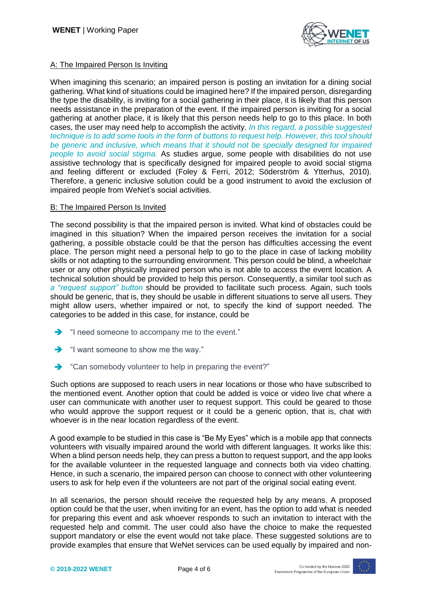

### A: The Impaired Person Is Inviting

When imagining this scenario; an impaired person is posting an invitation for a dining social gathering. What kind of situations could be imagined here? If the impaired person, disregarding the type the disability, is inviting for a social gathering in their place, it is likely that this person needs assistance in the preparation of the event. If the impaired person is inviting for a social gathering at another place, it is likely that this person needs help to go to this place. In both cases, the user may need help to accomplish the activity. *In this regard, a possible suggested technique is to add some tools in the form of buttons to request help. However, this tool should be generic and inclusive, which means that it should not be specially designed for impaired people to avoid social stigma.* As studies argue, some people with disabilities do not use assistive technology that is specifically designed for impaired people to avoid social stigma and feeling different or excluded (Foley & Ferri, 2012; Söderström & Ytterhus, 2010). Therefore, a generic inclusive solution could be a good instrument to avoid the exclusion of impaired people from WeNet's social activities.

#### B: The Impaired Person Is Invited

The second possibility is that the impaired person is invited. What kind of obstacles could be imagined in this situation? When the impaired person receives the invitation for a social gathering, a possible obstacle could be that the person has difficulties accessing the event place. The person might need a personal help to go to the place in case of lacking mobility skills or not adapting to the surrounding environment. This person could be blind, a wheelchair user or any other physically impaired person who is not able to access the event location. A technical solution should be provided to help this person. Consequently, a similar tool such as *a "request support" button* should be provided to facilitate such process. Again, such tools should be generic, that is, they should be usable in different situations to serve all users. They might allow users, whether impaired or not, to specify the kind of support needed. The categories to be added in this case, for instance, could be

- "I need someone to accompany me to the event."
- $\rightarrow$  "I want someone to show me the way."
- ◆ "Can somebody volunteer to help in preparing the event?"

Such options are supposed to reach users in near locations or those who have subscribed to the mentioned event. Another option that could be added is voice or video live chat where a user can communicate with another user to request support. This could be geared to those who would approve the support request or it could be a generic option, that is, chat with whoever is in the near location regardless of the event.

A good example to be studied in this case is "Be My Eyes" which is a mobile app that connects volunteers with visually impaired around the world with different languages. It works like this: When a blind person needs help, they can press a button to request support, and the app looks for the available volunteer in the requested language and connects both via video chatting. Hence, in such a scenario, the impaired person can choose to connect with other volunteering users to ask for help even if the volunteers are not part of the original social eating event.

In all scenarios, the person should receive the requested help by any means. A proposed option could be that the user, when inviting for an event, has the option to add what is needed for preparing this event and ask whoever responds to such an invitation to interact with the requested help and commit. The user could also have the choice to make the requested support mandatory or else the event would not take place. These suggested solutions are to provide examples that ensure that WeNet services can be used equally by impaired and non-

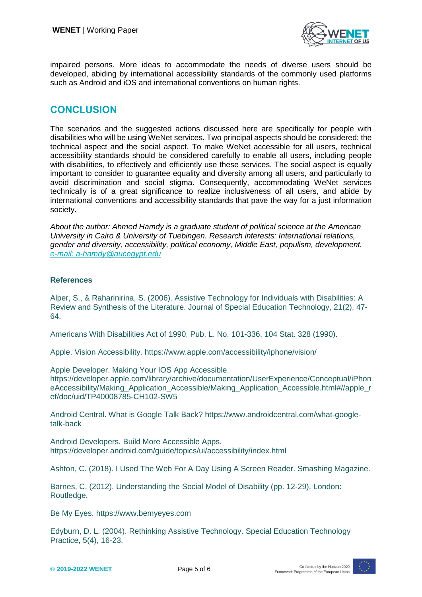

impaired persons. More ideas to accommodate the needs of diverse users should be developed, abiding by international accessibility standards of the commonly used platforms such as Android and iOS and international conventions on human rights.

### **CONCLUSION**

The scenarios and the suggested actions discussed here are specifically for people with disabilities who will be using WeNet services. Two principal aspects should be considered: the technical aspect and the social aspect. To make WeNet accessible for all users, technical accessibility standards should be considered carefully to enable all users, including people with disabilities, to effectively and efficiently use these services. The social aspect is equally important to consider to guarantee equality and diversity among all users, and particularly to avoid discrimination and social stigma. Consequently, accommodating WeNet services technically is of a great significance to realize inclusiveness of all users, and abide by international conventions and accessibility standards that pave the way for a just information society.

*About the author: Ahmed Hamdy is a graduate student of political science at the American University in Cairo & University of Tuebingen. Research interests: International relations, gender and diversity, accessibility, political economy, Middle East, populism, development. [e-mail: a-hamdy@aucegypt.edu](mailto:e-mail:%20a-hamdy@aucegypt.edu)*

### **References**

Alper, S., & Raharinirina, S. (2006). Assistive Technology for Individuals with Disabilities: A Review and Synthesis of the Literature. Journal of Special Education Technology, 21(2), 47- 64.

Americans With Disabilities Act of 1990, Pub. L. No. 101-336, 104 Stat. 328 (1990).

Apple. Vision Accessibility. https://www.apple.com/accessibility/iphone/vision/

Apple Developer. Making Your IOS App Accessible.

https://developer.apple.com/library/archive/documentation/UserExperience/Conceptual/iPhon eAccessibility/Making\_Application\_Accessible/Making\_Application\_Accessible.html#//apple\_r ef/doc/uid/TP40008785-CH102-SW5

Android Central. What is Google Talk Back? https://www.androidcentral.com/what-googletalk-back

Android Developers. Build More Accessible Apps. https://developer.android.com/guide/topics/ui/accessibility/index.html

Ashton, C. (2018). I Used The Web For A Day Using A Screen Reader. Smashing Magazine.

Barnes, C. (2012). Understanding the Social Model of Disability (pp. 12-29). London: Routledge.

Be My Eyes. https://www.bemyeyes.com

Edyburn, D. L. (2004). Rethinking Assistive Technology. Special Education Technology Practice, 5(4), 16-23.